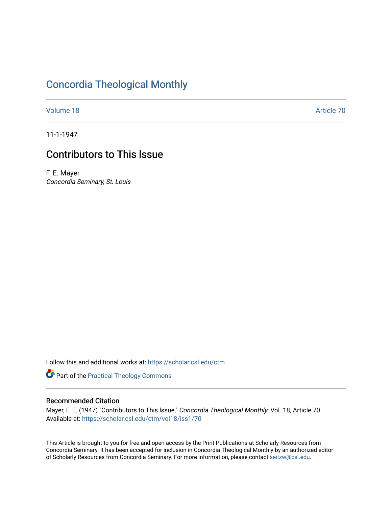## [Concordia Theological Monthly](https://scholar.csl.edu/ctm)

[Volume 18](https://scholar.csl.edu/ctm/vol18) Article 70

11-1-1947

# Contributors to This lssue

F. E. Mayer Concordia Seminary, St. Louis

Follow this and additional works at: [https://scholar.csl.edu/ctm](https://scholar.csl.edu/ctm?utm_source=scholar.csl.edu%2Fctm%2Fvol18%2Fiss1%2F70&utm_medium=PDF&utm_campaign=PDFCoverPages)

Part of the [Practical Theology Commons](http://network.bepress.com/hgg/discipline/1186?utm_source=scholar.csl.edu%2Fctm%2Fvol18%2Fiss1%2F70&utm_medium=PDF&utm_campaign=PDFCoverPages)

### Recommended Citation

Mayer, F. E. (1947) "Contributors to This lssue," Concordia Theological Monthly: Vol. 18, Article 70. Available at: [https://scholar.csl.edu/ctm/vol18/iss1/70](https://scholar.csl.edu/ctm/vol18/iss1/70?utm_source=scholar.csl.edu%2Fctm%2Fvol18%2Fiss1%2F70&utm_medium=PDF&utm_campaign=PDFCoverPages) 

This Article is brought to you for free and open access by the Print Publications at Scholarly Resources from Concordia Seminary. It has been accepted for inclusion in Concordia Theological Monthly by an authorized editor of Scholarly Resources from Concordia Seminary. For more information, please contact [seitzw@csl.edu](mailto:seitzw@csl.edu).